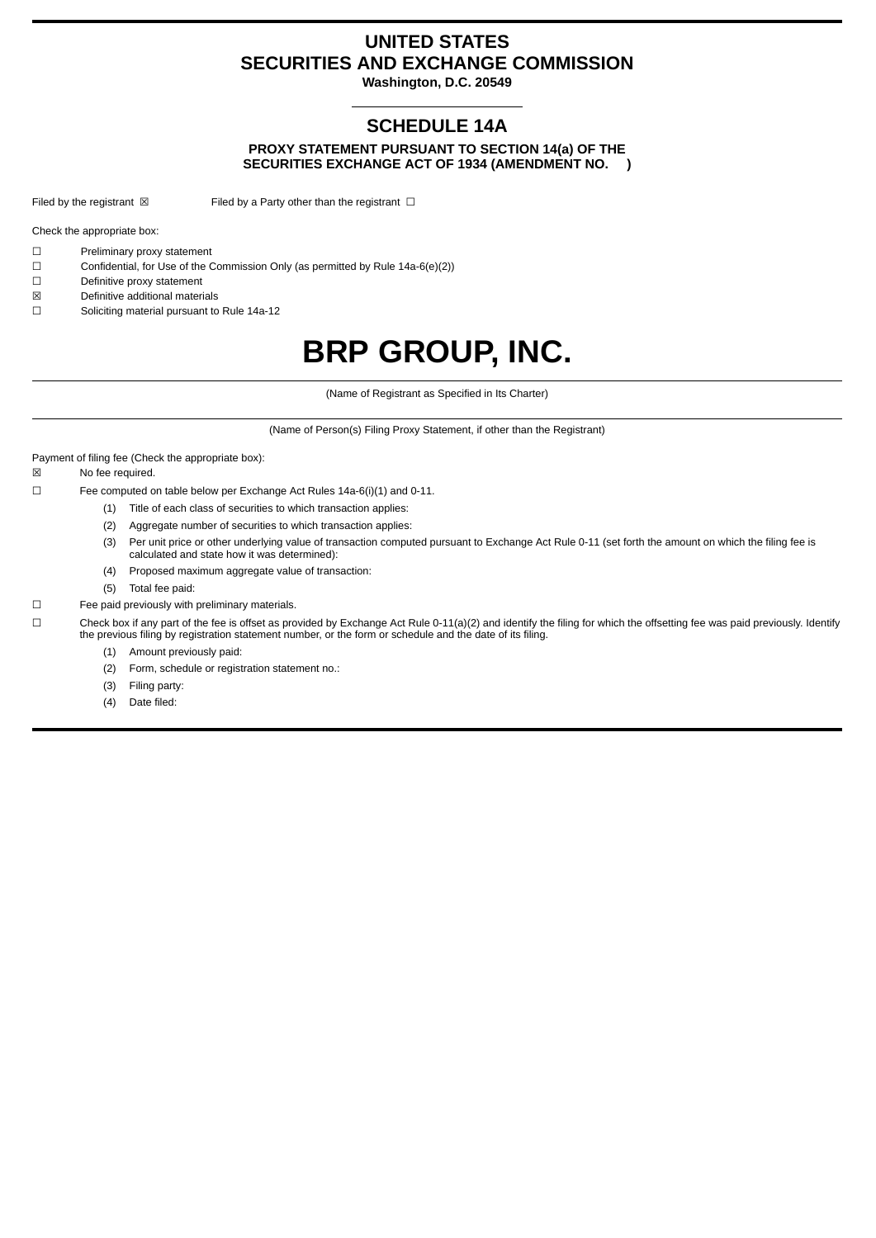# **UNITED STATES SECURITIES AND EXCHANGE COMMISSION**

**Washington, D.C. 20549**

# **SCHEDULE 14A**

**PROXY STATEMENT PURSUANT TO SECTION 14(a) OF THE SECURITIES EXCHANGE ACT OF 1934 (AMENDMENT NO. )**

Filed by the registrant  $\boxtimes$  Filed by a Party other than the registrant  $\Box$ 

Check the appropriate box:

- ☐ Preliminary proxy statement
- ☐ Confidential, for Use of the Commission Only (as permitted by Rule 14a-6(e)(2))
- ☐ Definitive proxy statement
- ☒ Definitive additional materials
- ☐ Soliciting material pursuant to Rule 14a-12

# **BRP GROUP, INC.**

(Name of Registrant as Specified in Its Charter)

(Name of Person(s) Filing Proxy Statement, if other than the Registrant)

Payment of filing fee (Check the appropriate box):

☒ No fee required.

☐ Fee computed on table below per Exchange Act Rules 14a-6(i)(1) and 0-11.

- (1) Title of each class of securities to which transaction applies:
- (2) Aggregate number of securities to which transaction applies:
- (3) Per unit price or other underlying value of transaction computed pursuant to Exchange Act Rule 0-11 (set forth the amount on which the filing fee is calculated and state how it was determined):
- (4) Proposed maximum aggregate value of transaction:
- (5) Total fee paid:
- ☐ Fee paid previously with preliminary materials.

☐ Check box if any part of the fee is offset as provided by Exchange Act Rule 0-11(a)(2) and identify the filing for which the offsetting fee was paid previously. Identify the previous filing by registration statement number, or the form or schedule and the date of its filing.

- (1) Amount previously paid:
- (2) Form, schedule or registration statement no.:
- (3) Filing party:
- (4) Date filed: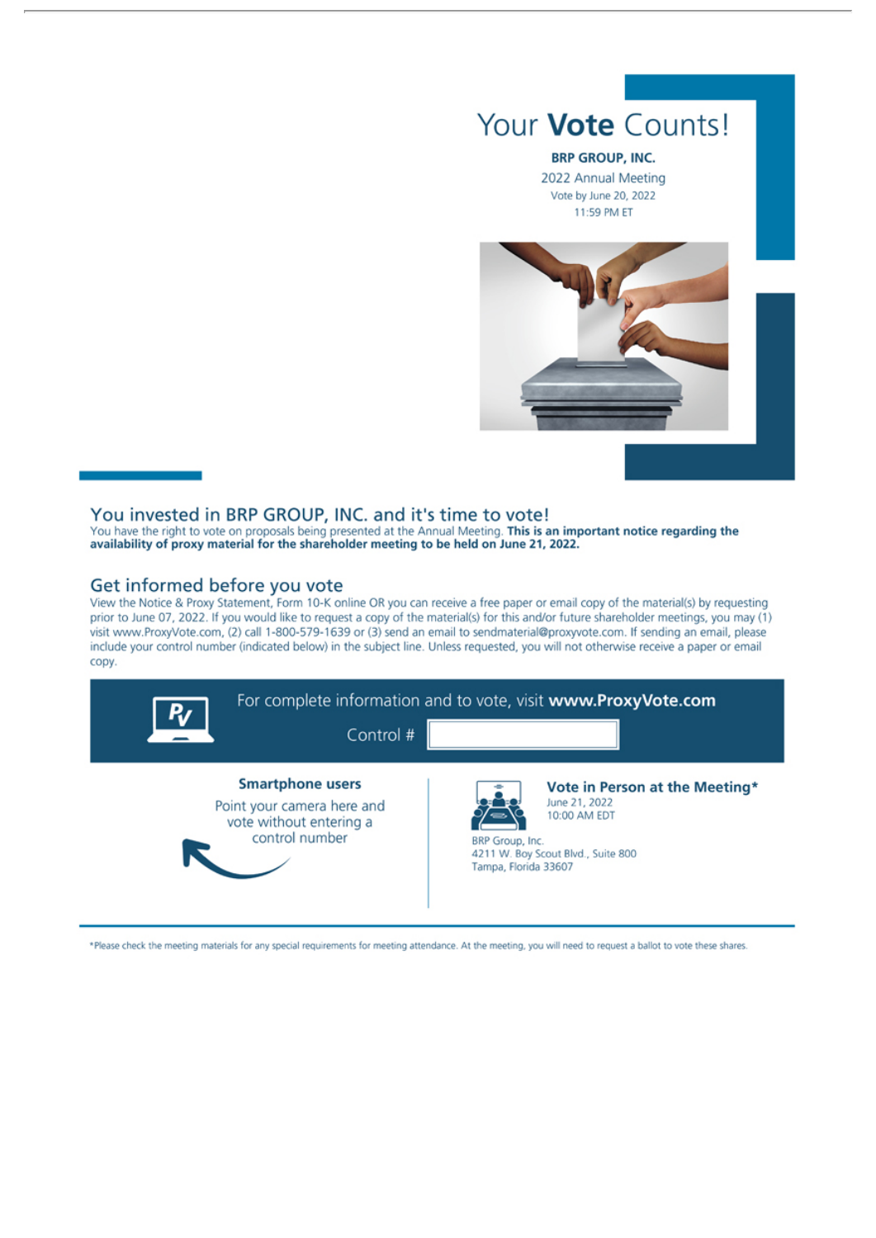# Your Vote Counts!

#### **BRP GROUP, INC.**

2022 Annual Meeting Vote by June 20, 2022 11:59 PM ET



### You invested in BRP GROUP, INC. and it's time to vote!

You have the right to vote on proposals being presented at the Annual Meeting. This is an important notice regarding the availability of proxy material for the shareholder meeting to be held on June 21, 2022.

### Get informed before you vote

View the Notice & Proxy Statement, Form 10-K online OR you can receive a free paper or email copy of the material(s) by requesting prior to June 07, 2022. If you would like to request a copy of the material(s) for this and/or future shareholder meetings, you may (1) visit www.ProxyVote.com, (2) call 1-800-579-1639 or (3) send an email to sendmaterial@proxyvote.com. If sending an email, please include your control number (indicated below) in the subject line. Unless requested, you will not otherwise receive a paper or email copy.



\*Please check the meeting materials for any special requirements for meeting attendance. At the meeting, you will need to request a ballot to vote these shares.